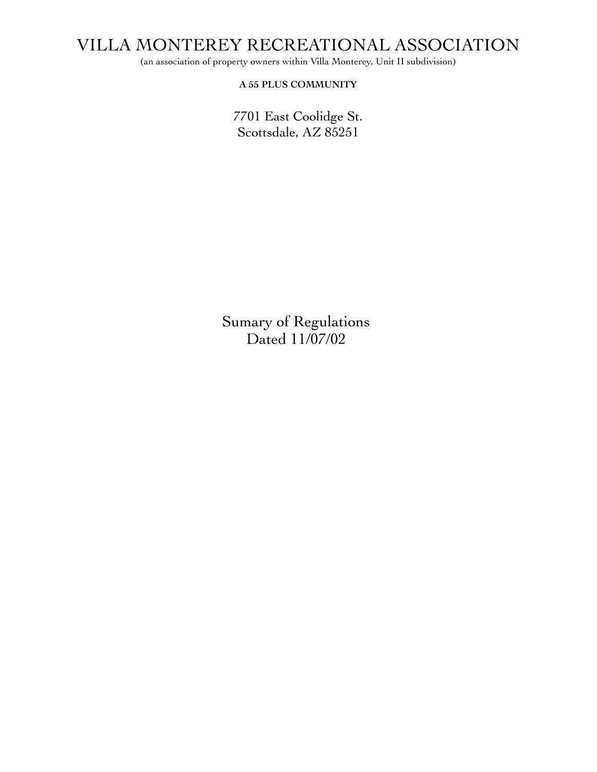(an association of property owners within Villa Monterey, Unit II subdivision)

**A 55 PLUS COMMUNITY**

7701 East Coolidge St. Scottsdale, AZ 85251

Sumary of Regulations Dated 11/07/02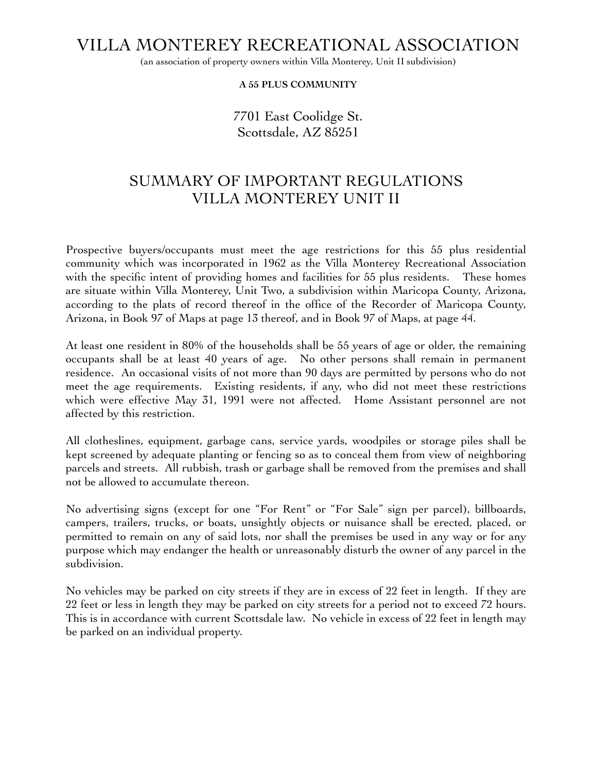(an association of property owners within Villa Monterey, Unit II subdivision)

**A 55 PLUS COMMUNITY**

7701 East Coolidge St. Scottsdale, AZ 85251

## SUMMARY OF IMPORTANT REGULATIONS VILLA MONTEREY UNIT II

Prospective buyers/occupants must meet the age restrictions for this 55 plus residential community which was incorporated in 1962 as the Villa Monterey Recreational Association with the specific intent of providing homes and facilities for 55 plus residents. These homes are situate within Villa Monterey, Unit Two, a subdivision within Maricopa County, Arizona, according to the plats of record thereof in the office of the Recorder of Maricopa County, Arizona, in Book 97 of Maps at page 13 thereof, and in Book 97 of Maps, at page 44.

At least one resident in 80% of the households shall be 55 years of age or older, the remaining occupants shall be at least 40 years of age. No other persons shall remain in permanent residence. An occasional visits of not more than 90 days are permitted by persons who do not meet the age requirements. Existing residents, if any, who did not meet these restrictions which were effective May 31, 1991 were not affected. Home Assistant personnel are not affected by this restriction.

All clotheslines, equipment, garbage cans, service yards, woodpiles or storage piles shall be kept screened by adequate planting or fencing so as to conceal them from view of neighboring parcels and streets. All rubbish, trash or garbage shall be removed from the premises and shall not be allowed to accumulate thereon.

No advertising signs (except for one "For Rent" or "For Sale" sign per parcel), billboards, campers, trailers, trucks, or boats, unsightly objects or nuisance shall be erected, placed, or permitted to remain on any of said lots, nor shall the premises be used in any way or for any purpose which may endanger the health or unreasonably disturb the owner of any parcel in the subdivision.

No vehicles may be parked on city streets if they are in excess of 22 feet in length. If they are 22 feet or less in length they may be parked on city streets for a period not to exceed 72 hours. This is in accordance with current Scottsdale law. No vehicle in excess of 22 feet in length may be parked on an individual property.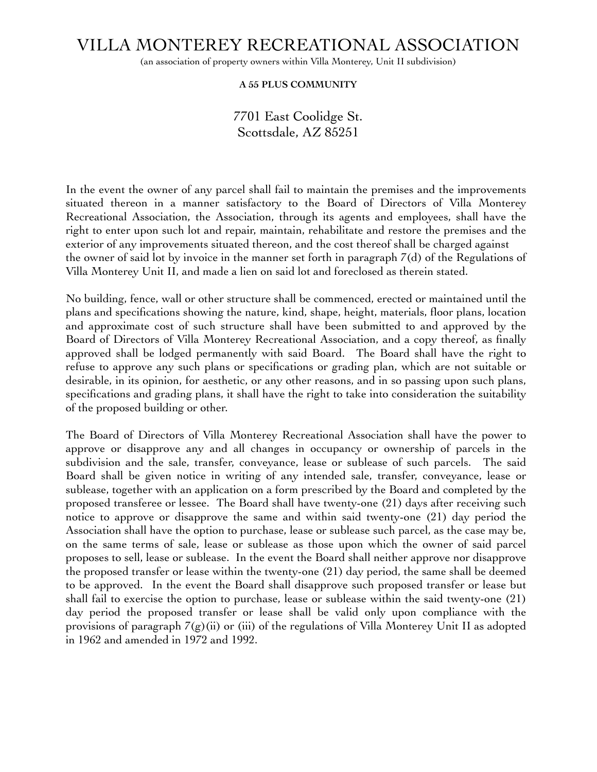(an association of property owners within Villa Monterey, Unit II subdivision)

#### **A 55 PLUS COMMUNITY**

### 7701 East Coolidge St. Scottsdale, AZ 85251

In the event the owner of any parcel shall fail to maintain the premises and the improvements situated thereon in a manner satisfactory to the Board of Directors of Villa Monterey Recreational Association, the Association, through its agents and employees, shall have the right to enter upon such lot and repair, maintain, rehabilitate and restore the premises and the exterior of any improvements situated thereon, and the cost thereof shall be charged against the owner of said lot by invoice in the manner set forth in paragraph 7(d) of the Regulations of Villa Monterey Unit II, and made a lien on said lot and foreclosed as therein stated.

No building, fence, wall or other structure shall be commenced, erected or maintained until the plans and specifications showing the nature, kind, shape, height, materials, floor plans, location and approximate cost of such structure shall have been submitted to and approved by the Board of Directors of Villa Monterey Recreational Association, and a copy thereof, as finally approved shall be lodged permanently with said Board. The Board shall have the right to refuse to approve any such plans or specifications or grading plan, which are not suitable or desirable, in its opinion, for aesthetic, or any other reasons, and in so passing upon such plans, specifications and grading plans, it shall have the right to take into consideration the suitability of the proposed building or other.

The Board of Directors of Villa Monterey Recreational Association shall have the power to approve or disapprove any and all changes in occupancy or ownership of parcels in the subdivision and the sale, transfer, conveyance, lease or sublease of such parcels. The said Board shall be given notice in writing of any intended sale, transfer, conveyance, lease or sublease, together with an application on a form prescribed by the Board and completed by the proposed transferee or lessee. The Board shall have twenty-one (21) days after receiving such notice to approve or disapprove the same and within said twenty-one (21) day period the Association shall have the option to purchase, lease or sublease such parcel, as the case may be, on the same terms of sale, lease or sublease as those upon which the owner of said parcel proposes to sell, lease or sublease. In the event the Board shall neither approve nor disapprove the proposed transfer or lease within the twenty-one (21) day period, the same shall be deemed to be approved. In the event the Board shall disapprove such proposed transfer or lease but shall fail to exercise the option to purchase, lease or sublease within the said twenty-one (21) day period the proposed transfer or lease shall be valid only upon compliance with the provisions of paragraph  $7(g)(ii)$  or (iii) of the regulations of Villa Monterey Unit II as adopted in 1962 and amended in 1972 and 1992.